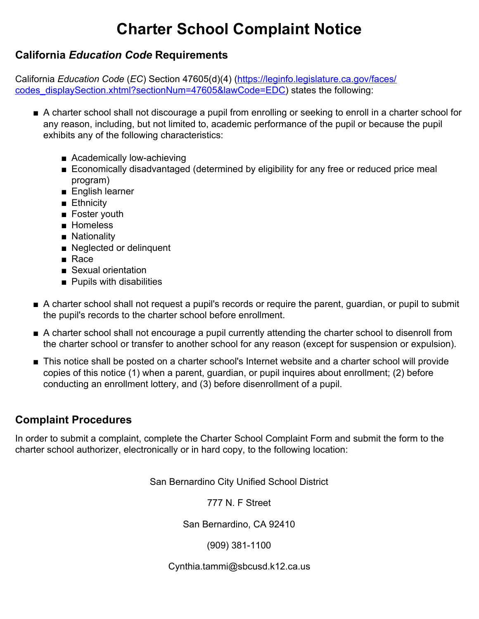## **Charter School Complaint Notice**

## **California** *Education Code* **Requirements**

California *Education Code* (*EC*) Section 47605(d)(4) ([https://leginfo.legislature.ca.gov/faces/](https://leginfo.legislature.ca.gov/faces/codes_displaySection.xhtml?sectionNum=47605&lawCode=EDC) [codes\\_displaySection.xhtml?sectionNum=47605&lawCode=EDC\)](https://leginfo.legislature.ca.gov/faces/codes_displaySection.xhtml?sectionNum=47605&lawCode=EDC) states the following:

- A charter school shall not discourage a pupil from enrolling or seeking to enroll in a charter school for any reason, including, but not limited to, academic performance of the pupil or because the pupil exhibits any of the following characteristics:
	- Academically low-achieving
	- Economically disadvantaged (determined by eligibility for any free or reduced price meal program)
	- English learner
	- Ethnicity
	- Foster youth
	- Homeless
	- Nationality
	- Neglected or delinquent
	- Race
	- Sexual orientation
	- Pupils with disabilities
- A charter school shall not request a pupil's records or require the parent, guardian, or pupil to submit the pupil's records to the charter school before enrollment.
- A charter school shall not encourage a pupil currently attending the charter school to disenroll from the charter school or transfer to another school for any reason (except for suspension or expulsion).
- This notice shall be posted on a charter school's Internet website and a charter school will provide copies of this notice (1) when a parent, guardian, or pupil inquires about enrollment; (2) before conducting an enrollment lottery, and (3) before disenrollment of a pupil.

## **Complaint Procedures**

In order to submit a complaint, complete the Charter School Complaint Form and submit the form to the charter school authorizer, electronically or in hard copy, to the following location:

San Bernardino City Unified School District

777 N. F Street

San Bernardino, CA 92410

(909) 381-1100

Cynthia.tammi@sbcusd.k12.ca.us